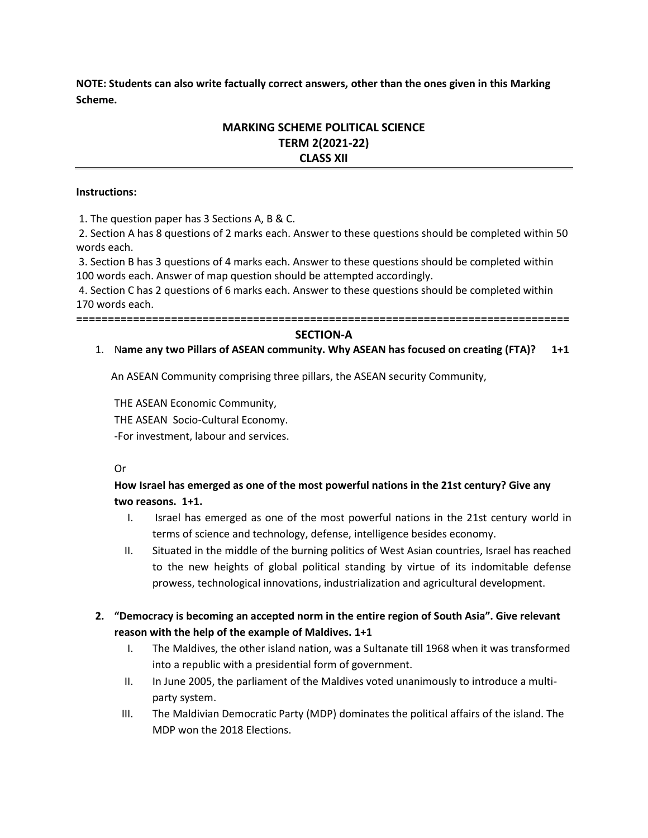**NOTE: Students can also write factually correct answers, other than the ones given in this Marking Scheme.**

## **MARKING SCHEME POLITICAL SCIENCE TERM 2(2021-22) CLASS XII**

#### **Instructions:**

1. The question paper has 3 Sections A, B & C.

2. Section A has 8 questions of 2 marks each. Answer to these questions should be completed within 50 words each.

3. Section B has 3 questions of 4 marks each. Answer to these questions should be completed within 100 words each. Answer of map question should be attempted accordingly.

4. Section C has 2 questions of 6 marks each. Answer to these questions should be completed within 170 words each.

**==============================================================================**

### **SECTION-A**

### 1. N**ame any two Pillars of ASEAN community. Why ASEAN has focused on creating (FTA)? 1+1**

An ASEAN Community comprising three pillars, the ASEAN security Community,

THE ASEAN Economic Community, THE ASEAN Socio-Cultural Economy. -For investment, labour and services.

#### Or

**How Israel has emerged as one of the most powerful nations in the 21st century? Give any two reasons. 1+1.**

- I. Israel has emerged as one of the most powerful nations in the 21st century world in terms of science and technology, defense, intelligence besides economy.
- II. Situated in the middle of the burning politics of West Asian countries, Israel has reached to the new heights of global political standing by virtue of its indomitable defense prowess, technological innovations, industrialization and agricultural development.
- **2. "Democracy is becoming an accepted norm in the entire region of South Asia". Give relevant reason with the help of the example of Maldives. 1+1**
	- I. The Maldives, the other island nation, was a Sultanate till 1968 when it was transformed into a republic with a presidential form of government.
	- II. In June 2005, the parliament of the Maldives voted unanimously to introduce a multiparty system.
	- III. The Maldivian Democratic Party (MDP) dominates the political affairs of the island. The MDP won the 2018 Elections.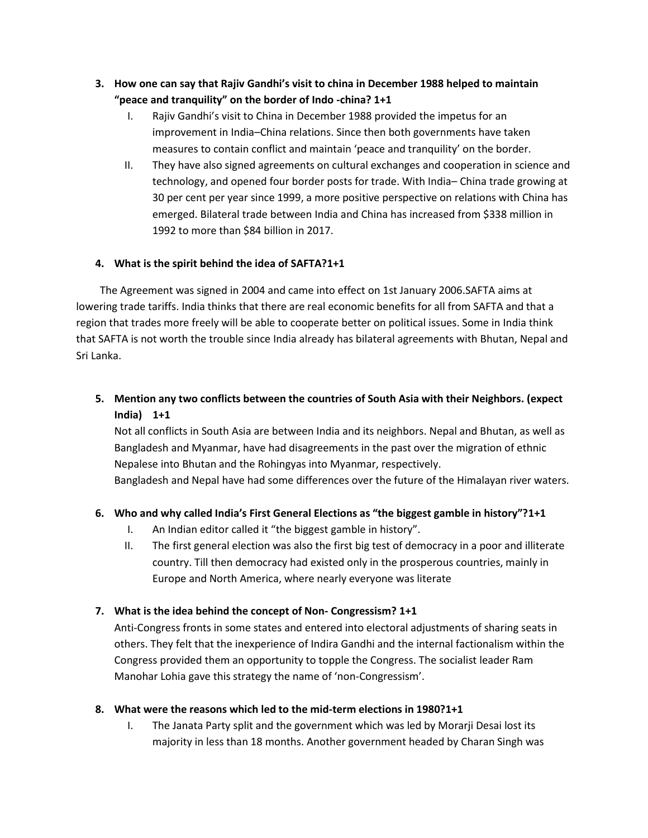- **3. How one can say that Rajiv Gandhi's visit to china in December 1988 helped to maintain "peace and tranquility" on the border of Indo -china? 1+1**
	- I. Rajiv Gandhi's visit to China in December 1988 provided the impetus for an improvement in India–China relations. Since then both governments have taken measures to contain conflict and maintain 'peace and tranquility' on the border.
	- II. They have also signed agreements on cultural exchanges and cooperation in science and technology, and opened four border posts for trade. With India– China trade growing at 30 per cent per year since 1999, a more positive perspective on relations with China has emerged. Bilateral trade between India and China has increased from \$338 million in 1992 to more than \$84 billion in 2017.

### **4. What is the spirit behind the idea of SAFTA?1+1**

 The Agreement was signed in 2004 and came into effect on 1st January 2006.SAFTA aims at lowering trade tariffs. India thinks that there are real economic benefits for all from SAFTA and that a region that trades more freely will be able to cooperate better on political issues. Some in India think that SAFTA is not worth the trouble since India already has bilateral agreements with Bhutan, Nepal and Sri Lanka.

# **5. Mention any two conflicts between the countries of South Asia with their Neighbors. (expect India) 1+1**

Not all conflicts in South Asia are between India and its neighbors. Nepal and Bhutan, as well as Bangladesh and Myanmar, have had disagreements in the past over the migration of ethnic Nepalese into Bhutan and the Rohingyas into Myanmar, respectively.

Bangladesh and Nepal have had some differences over the future of the Himalayan river waters.

## **6. Who and why called India's First General Elections as "the biggest gamble in history"?1+1**

- I. An Indian editor called it "the biggest gamble in history".
- II. The first general election was also the first big test of democracy in a poor and illiterate country. Till then democracy had existed only in the prosperous countries, mainly in Europe and North America, where nearly everyone was literate

### **7. What is the idea behind the concept of Non- Congressism? 1+1**

Anti-Congress fronts in some states and entered into electoral adjustments of sharing seats in others. They felt that the inexperience of Indira Gandhi and the internal factionalism within the Congress provided them an opportunity to topple the Congress. The socialist leader Ram Manohar Lohia gave this strategy the name of 'non-Congressism'.

## **8. What were the reasons which led to the mid-term elections in 1980?1+1**

I. The Janata Party split and the government which was led by Morarji Desai lost its majority in less than 18 months. Another government headed by Charan Singh was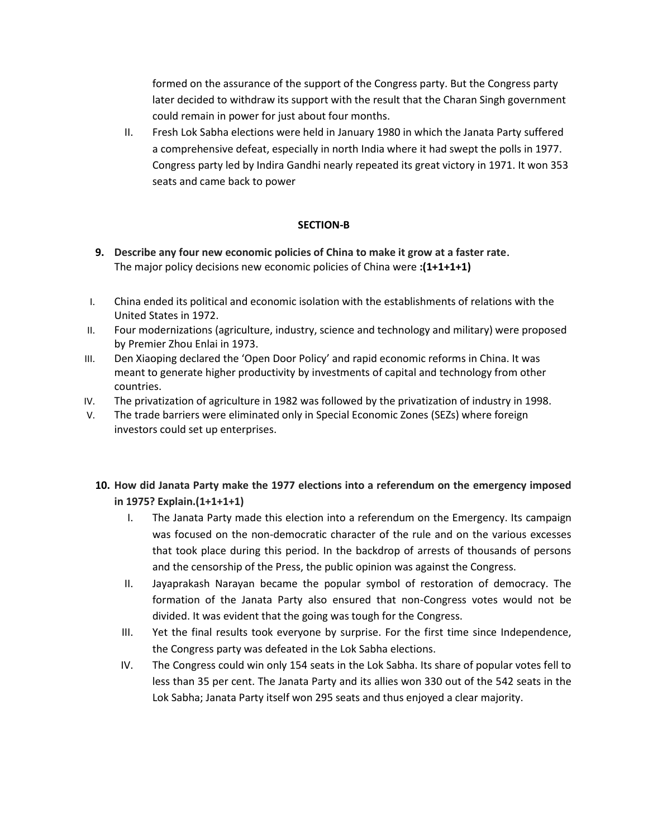formed on the assurance of the support of the Congress party. But the Congress party later decided to withdraw its support with the result that the Charan Singh government could remain in power for just about four months.

II. Fresh Lok Sabha elections were held in January 1980 in which the Janata Party suffered a comprehensive defeat, especially in north India where it had swept the polls in 1977. Congress party led by Indira Gandhi nearly repeated its great victory in 1971. It won 353 seats and came back to power

### **SECTION-B**

- **9. Describe any four new economic policies of China to make it grow at a faster rate**. The major policy decisions new economic policies of China were **:(1+1+1+1)**
- I. China ended its political and economic isolation with the establishments of relations with the United States in 1972.
- II. Four modernizations (agriculture, industry, science and technology and military) were proposed by Premier Zhou Enlai in 1973.
- III. Den Xiaoping declared the 'Open Door Policy' and rapid economic reforms in China. It was meant to generate higher productivity by investments of capital and technology from other countries.
- IV. The privatization of agriculture in 1982 was followed by the privatization of industry in 1998.
- V. The trade barriers were eliminated only in Special Economic Zones (SEZs) where foreign investors could set up enterprises.
	- **10. How did Janata Party make the 1977 elections into a referendum on the emergency imposed in 1975? Explain.(1+1+1+1)**
		- I. The Janata Party made this election into a referendum on the Emergency. Its campaign was focused on the non-democratic character of the rule and on the various excesses that took place during this period. In the backdrop of arrests of thousands of persons and the censorship of the Press, the public opinion was against the Congress.
		- II. Jayaprakash Narayan became the popular symbol of restoration of democracy. The formation of the Janata Party also ensured that non-Congress votes would not be divided. It was evident that the going was tough for the Congress.
		- III. Yet the final results took everyone by surprise. For the first time since Independence, the Congress party was defeated in the Lok Sabha elections.
		- IV. The Congress could win only 154 seats in the Lok Sabha. Its share of popular votes fell to less than 35 per cent. The Janata Party and its allies won 330 out of the 542 seats in the Lok Sabha; Janata Party itself won 295 seats and thus enjoyed a clear majority.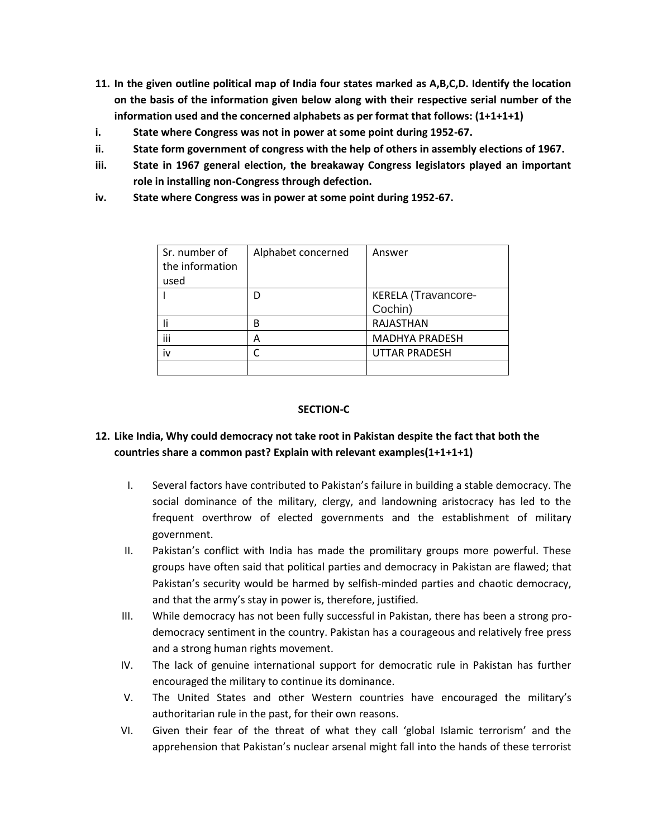- **11. In the given outline political map of India four states marked as A,B,C,D. Identify the location on the basis of the information given below along with their respective serial number of the information used and the concerned alphabets as per format that follows: (1+1+1+1)**
- **i. State where Congress was not in power at some point during 1952-67.**
- **ii. State form government of congress with the help of others in assembly elections of 1967.**
- **iii. State in 1967 general election, the breakaway Congress legislators played an important role in installing non-Congress through defection.**
- **iv. State where Congress was in power at some point during 1952-67.**

| Sr. number of   | Alphabet concerned | Answer                     |
|-----------------|--------------------|----------------------------|
| the information |                    |                            |
| used            |                    |                            |
|                 | D                  | <b>KERELA (Travancore-</b> |
|                 |                    | Cochin)                    |
|                 | B                  | <b>RAJASTHAN</b>           |
| iii             | А                  | <b>MADHYA PRADESH</b>      |
| iv              |                    | <b>UTTAR PRADESH</b>       |
|                 |                    |                            |

#### **SECTION-C**

### **12. Like India, Why could democracy not take root in Pakistan despite the fact that both the countries share a common past? Explain with relevant examples(1+1+1+1)**

- I. Several factors have contributed to Pakistan's failure in building a stable democracy. The social dominance of the military, clergy, and landowning aristocracy has led to the frequent overthrow of elected governments and the establishment of military government.
- II. Pakistan's conflict with India has made the promilitary groups more powerful. These groups have often said that political parties and democracy in Pakistan are flawed; that Pakistan's security would be harmed by selfish-minded parties and chaotic democracy, and that the army's stay in power is, therefore, justified.
- III. While democracy has not been fully successful in Pakistan, there has been a strong prodemocracy sentiment in the country. Pakistan has a courageous and relatively free press and a strong human rights movement.
- IV. The lack of genuine international support for democratic rule in Pakistan has further encouraged the military to continue its dominance.
- V. The United States and other Western countries have encouraged the military's authoritarian rule in the past, for their own reasons.
- VI. Given their fear of the threat of what they call 'global Islamic terrorism' and the apprehension that Pakistan's nuclear arsenal might fall into the hands of these terrorist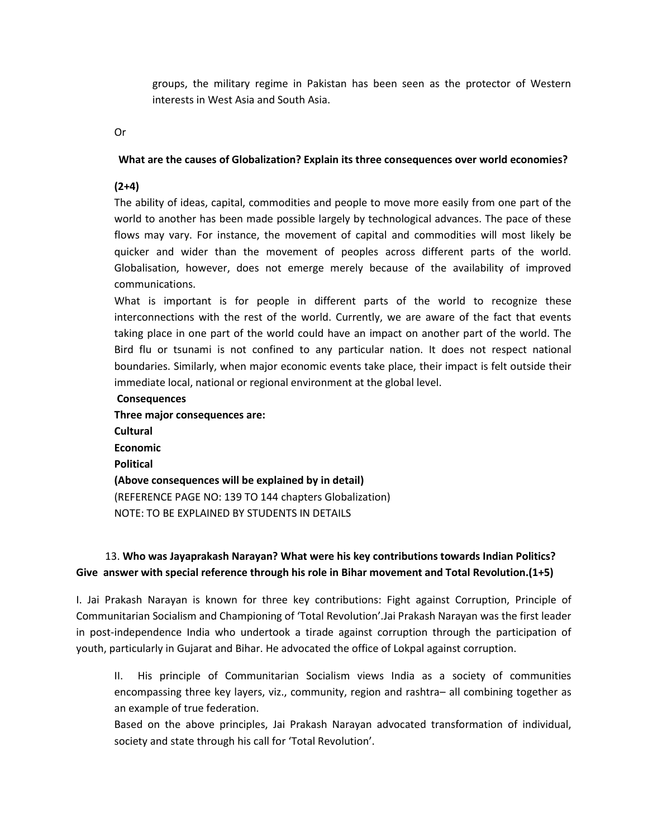groups, the military regime in Pakistan has been seen as the protector of Western interests in West Asia and South Asia.

Or

#### **What are the causes of Globalization? Explain its three consequences over world economies?**

#### **(2+4)**

The ability of ideas, capital, commodities and people to move more easily from one part of the world to another has been made possible largely by technological advances. The pace of these flows may vary. For instance, the movement of capital and commodities will most likely be quicker and wider than the movement of peoples across different parts of the world. Globalisation, however, does not emerge merely because of the availability of improved communications.

What is important is for people in different parts of the world to recognize these interconnections with the rest of the world. Currently, we are aware of the fact that events taking place in one part of the world could have an impact on another part of the world. The Bird flu or tsunami is not confined to any particular nation. It does not respect national boundaries. Similarly, when major economic events take place, their impact is felt outside their immediate local, national or regional environment at the global level.

#### **Consequences**

#### **Three major consequences are: Cultural**

**Economic Political (Above consequences will be explained by in detail)** (REFERENCE PAGE NO: 139 TO 144 chapters Globalization) NOTE: TO BE EXPLAINED BY STUDENTS IN DETAILS

### 13. **Who was Jayaprakash Narayan? What were his key contributions towards Indian Politics? Give answer with special reference through his role in Bihar movement and Total Revolution.(1+5)**

I. Jai Prakash Narayan is known for three key contributions: Fight against Corruption, Principle of Communitarian Socialism and Championing of 'Total Revolution'.Jai Prakash Narayan was the first leader in post-independence India who undertook a tirade against corruption through the participation of youth, particularly in Gujarat and Bihar. He advocated the office of Lokpal against corruption.

II. His principle of Communitarian Socialism views India as a society of communities encompassing three key layers, viz., community, region and rashtra– all combining together as an example of true federation.

Based on the above principles, Jai Prakash Narayan advocated transformation of individual, society and state through his call for 'Total Revolution'.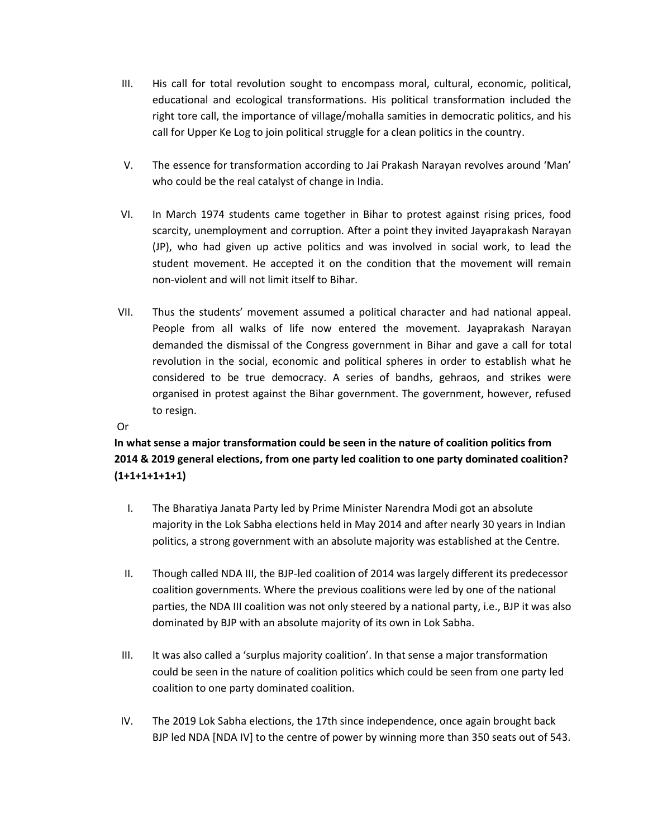- III. His call for total revolution sought to encompass moral, cultural, economic, political, educational and ecological transformations. His political transformation included the right tore call, the importance of village/mohalla samities in democratic politics, and his call for Upper Ke Log to join political struggle for a clean politics in the country.
- V. The essence for transformation according to Jai Prakash Narayan revolves around 'Man' who could be the real catalyst of change in India.
- VI. In March 1974 students came together in Bihar to protest against rising prices, food scarcity, unemployment and corruption. After a point they invited Jayaprakash Narayan (JP), who had given up active politics and was involved in social work, to lead the student movement. He accepted it on the condition that the movement will remain non-violent and will not limit itself to Bihar.
- VII. Thus the students' movement assumed a political character and had national appeal. People from all walks of life now entered the movement. Jayaprakash Narayan demanded the dismissal of the Congress government in Bihar and gave a call for total revolution in the social, economic and political spheres in order to establish what he considered to be true democracy. A series of bandhs, gehraos, and strikes were organised in protest against the Bihar government. The government, however, refused to resign.

#### Or

# **In what sense a major transformation could be seen in the nature of coalition politics from 2014 & 2019 general elections, from one party led coalition to one party dominated coalition? (1+1+1+1+1+1)**

- I. The Bharatiya Janata Party led by Prime Minister Narendra Modi got an absolute majority in the Lok Sabha elections held in May 2014 and after nearly 30 years in Indian politics, a strong government with an absolute majority was established at the Centre.
- II. Though called NDA III, the BJP-led coalition of 2014 was largely different its predecessor coalition governments. Where the previous coalitions were led by one of the national parties, the NDA III coalition was not only steered by a national party, i.e., BJP it was also dominated by BJP with an absolute majority of its own in Lok Sabha.
- III. It was also called a 'surplus majority coalition'. In that sense a major transformation could be seen in the nature of coalition politics which could be seen from one party led coalition to one party dominated coalition.
- IV. The 2019 Lok Sabha elections, the 17th since independence, once again brought back BJP led NDA [NDA IV] to the centre of power by winning more than 350 seats out of 543.